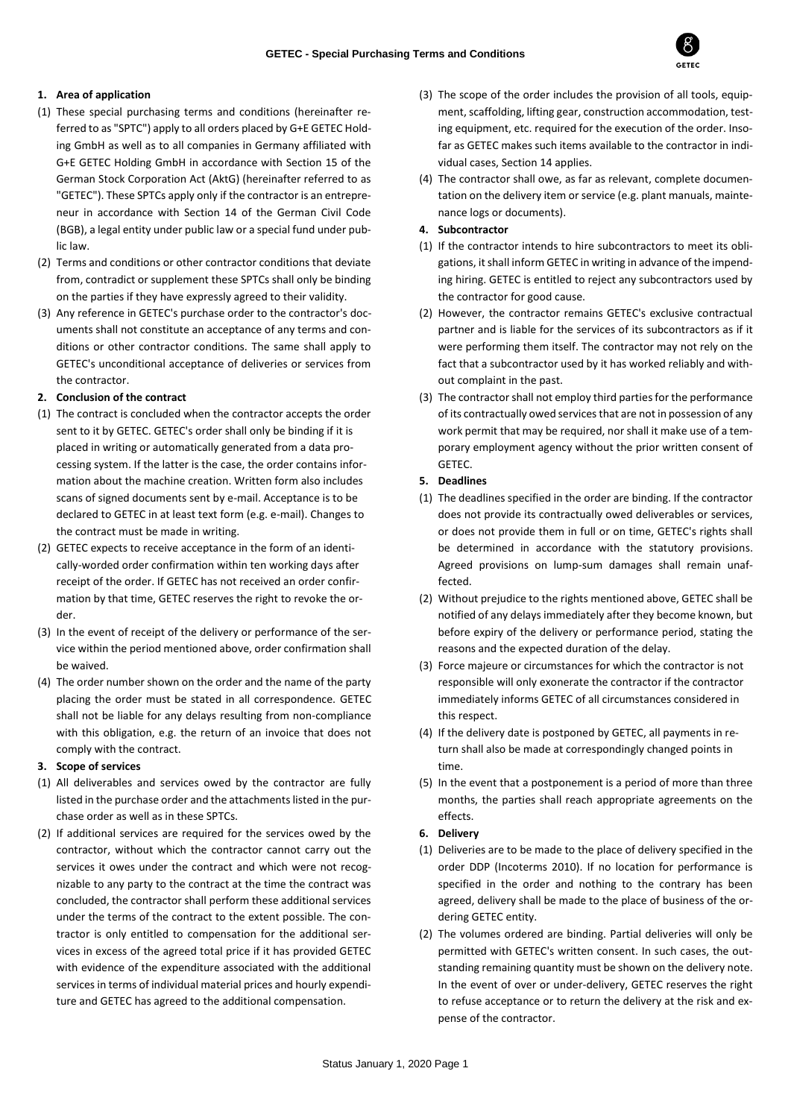

# **1. Area of application**

- (1) These special purchasing terms and conditions (hereinafter referred to as "SPTC") apply to all orders placed by G+E GETEC Holding GmbH as well as to all companies in Germany affiliated with G+E GETEC Holding GmbH in accordance with Section 15 of the German Stock Corporation Act (AktG) (hereinafter referred to as "GETEC"). These SPTCs apply only if the contractor is an entrepreneur in accordance with Section 14 of the German Civil Code (BGB), a legal entity under public law or a special fund under public law.
- (2) Terms and conditions or other contractor conditions that deviate from, contradict or supplement these SPTCs shall only be binding on the parties if they have expressly agreed to their validity.
- (3) Any reference in GETEC's purchase order to the contractor's documents shall not constitute an acceptance of any terms and conditions or other contractor conditions. The same shall apply to GETEC's unconditional acceptance of deliveries or services from the contractor.

# **2. Conclusion of the contract**

- (1) The contract is concluded when the contractor accepts the order sent to it by GETEC. GETEC's order shall only be binding if it is placed in writing or automatically generated from a data processing system. If the latter is the case, the order contains information about the machine creation. Written form also includes scans of signed documents sent by e-mail. Acceptance is to be declared to GETEC in at least text form (e.g. e-mail). Changes to the contract must be made in writing.
- (2) GETEC expects to receive acceptance in the form of an identically-worded order confirmation within ten working days after receipt of the order. If GETEC has not received an order confirmation by that time, GETEC reserves the right to revoke the order.
- (3) In the event of receipt of the delivery or performance of the service within the period mentioned above, order confirmation shall be waived.
- (4) The order number shown on the order and the name of the party placing the order must be stated in all correspondence. GETEC shall not be liable for any delays resulting from non-compliance with this obligation, e.g. the return of an invoice that does not comply with the contract.

# **3. Scope of services**

- (1) All deliverables and services owed by the contractor are fully listed in the purchase order and the attachments listed in the purchase order as well as in these SPTCs.
- (2) If additional services are required for the services owed by the contractor, without which the contractor cannot carry out the services it owes under the contract and which were not recognizable to any party to the contract at the time the contract was concluded, the contractor shall perform these additional services under the terms of the contract to the extent possible. The contractor is only entitled to compensation for the additional services in excess of the agreed total price if it has provided GETEC with evidence of the expenditure associated with the additional services in terms of individual material prices and hourly expenditure and GETEC has agreed to the additional compensation.
- (3) The scope of the order includes the provision of all tools, equipment, scaffolding, lifting gear, construction accommodation, testing equipment, etc. required for the execution of the order. Insofar as GETEC makes such items available to the contractor in individual cases, Section 14 applies.
- (4) The contractor shall owe, as far as relevant, complete documentation on the delivery item or service (e.g. plant manuals, maintenance logs or documents).

# **4. Subcontractor**

- (1) If the contractor intends to hire subcontractors to meet its obligations, it shall inform GETEC in writing in advance of the impending hiring. GETEC is entitled to reject any subcontractors used by the contractor for good cause.
- (2) However, the contractor remains GETEC's exclusive contractual partner and is liable for the services of its subcontractors as if it were performing them itself. The contractor may not rely on the fact that a subcontractor used by it has worked reliably and without complaint in the past.
- (3) The contractor shall not employ third parties for the performance of its contractually owed services that are not in possession of any work permit that may be required, nor shall it make use of a temporary employment agency without the prior written consent of GETEC.
- **5. Deadlines**
- (1) The deadlines specified in the order are binding. If the contractor does not provide its contractually owed deliverables or services, or does not provide them in full or on time, GETEC's rights shall be determined in accordance with the statutory provisions. Agreed provisions on lump-sum damages shall remain unaffected.
- (2) Without prejudice to the rights mentioned above, GETEC shall be notified of any delays immediately after they become known, but before expiry of the delivery or performance period, stating the reasons and the expected duration of the delay.
- (3) Force majeure or circumstances for which the contractor is not responsible will only exonerate the contractor if the contractor immediately informs GETEC of all circumstances considered in this respect.
- (4) If the delivery date is postponed by GETEC, all payments in return shall also be made at correspondingly changed points in time.
- (5) In the event that a postponement is a period of more than three months, the parties shall reach appropriate agreements on the effects.
- **6. Delivery**
- (1) Deliveries are to be made to the place of delivery specified in the order DDP (Incoterms 2010). If no location for performance is specified in the order and nothing to the contrary has been agreed, delivery shall be made to the place of business of the ordering GETEC entity.
- (2) The volumes ordered are binding. Partial deliveries will only be permitted with GETEC's written consent. In such cases, the outstanding remaining quantity must be shown on the delivery note. In the event of over or under-delivery, GETEC reserves the right to refuse acceptance or to return the delivery at the risk and expense of the contractor.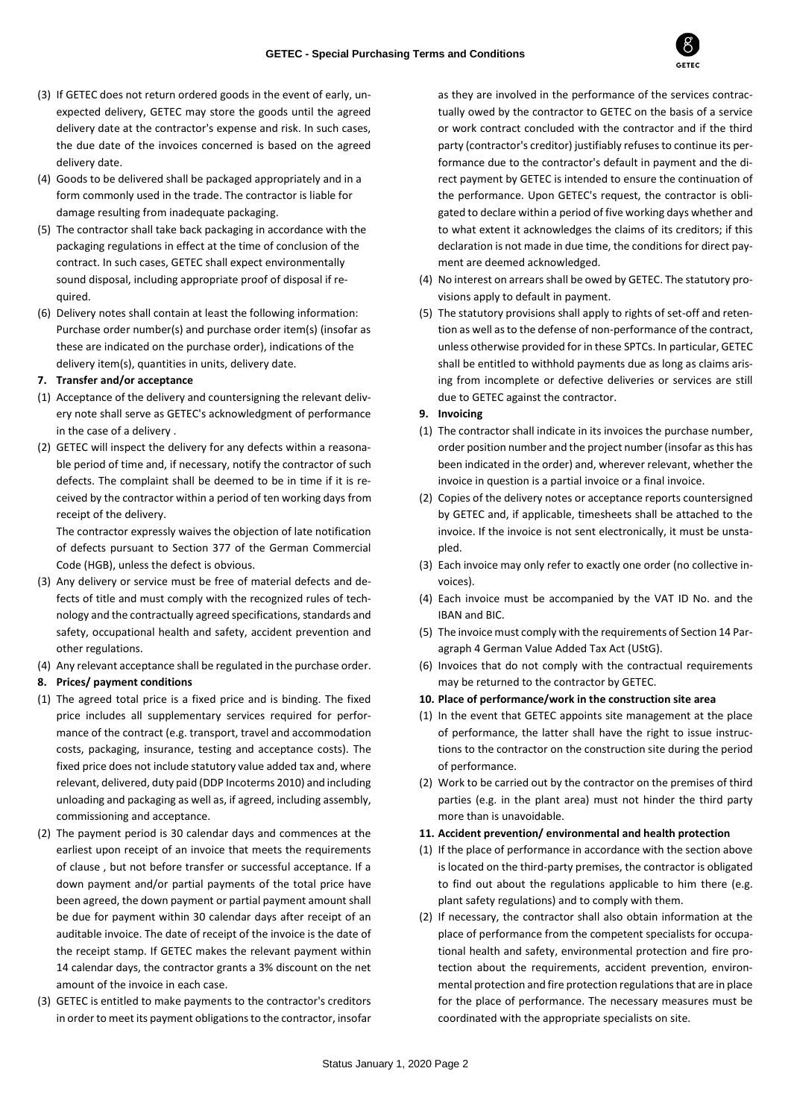

- (3) If GETEC does not return ordered goods in the event of early, unexpected delivery, GETEC may store the goods until the agreed delivery date at the contractor's expense and risk. In such cases, the due date of the invoices concerned is based on the agreed delivery date.
- (4) Goods to be delivered shall be packaged appropriately and in a form commonly used in the trade. The contractor is liable for damage resulting from inadequate packaging.
- (5) The contractor shall take back packaging in accordance with the packaging regulations in effect at the time of conclusion of the contract. In such cases, GETEC shall expect environmentally sound disposal, including appropriate proof of disposal if required.
- (6) Delivery notes shall contain at least the following information: Purchase order number(s) and purchase order item(s) (insofar as these are indicated on the purchase order), indications of the delivery item(s), quantities in units, delivery date.

## **7. Transfer and/or acceptance**

- (1) Acceptance of the delivery and countersigning the relevant delivery note shall serve as GETEC's acknowledgment of performance in the case of a delivery .
- (2) GETEC will inspect the delivery for any defects within a reasonable period of time and, if necessary, notify the contractor of such defects. The complaint shall be deemed to be in time if it is received by the contractor within a period of ten working days from receipt of the delivery.

The contractor expressly waives the objection of late notification of defects pursuant to Section 377 of the German Commercial Code (HGB), unless the defect is obvious.

- (3) Any delivery or service must be free of material defects and defects of title and must comply with the recognized rules of technology and the contractually agreed specifications, standards and safety, occupational health and safety, accident prevention and other regulations.
- (4) Any relevant acceptance shall be regulated in the purchase order.

### **8. Prices/ payment conditions**

- (1) The agreed total price is a fixed price and is binding. The fixed price includes all supplementary services required for performance of the contract (e.g. transport, travel and accommodation costs, packaging, insurance, testing and acceptance costs). The fixed price does not include statutory value added tax and, where relevant, delivered, duty paid (DDP Incoterms 2010) and including unloading and packaging as well as, if agreed, including assembly, commissioning and acceptance.
- (2) The payment period is 30 calendar days and commences at the earliest upon receipt of an invoice that meets the requirements of clause , but not before transfer or successful acceptance. If a down payment and/or partial payments of the total price have been agreed, the down payment or partial payment amount shall be due for payment within 30 calendar days after receipt of an auditable invoice. The date of receipt of the invoice is the date of the receipt stamp. If GETEC makes the relevant payment within 14 calendar days, the contractor grants a 3% discount on the net amount of the invoice in each case.
- (3) GETEC is entitled to make payments to the contractor's creditors in order to meet its payment obligations to the contractor, insofar

as they are involved in the performance of the services contractually owed by the contractor to GETEC on the basis of a service or work contract concluded with the contractor and if the third party (contractor's creditor) justifiably refuses to continue its performance due to the contractor's default in payment and the direct payment by GETEC is intended to ensure the continuation of the performance. Upon GETEC's request, the contractor is obligated to declare within a period of five working days whether and to what extent it acknowledges the claims of its creditors; if this declaration is not made in due time, the conditions for direct payment are deemed acknowledged.

- (4) No interest on arrears shall be owed by GETEC. The statutory provisions apply to default in payment.
- (5) The statutory provisions shall apply to rights of set-off and retention as well as to the defense of non-performance of the contract, unless otherwise provided for in these SPTCs. In particular, GETEC shall be entitled to withhold payments due as long as claims arising from incomplete or defective deliveries or services are still due to GETEC against the contractor.
- **9. Invoicing**
- (1) The contractor shall indicate in its invoices the purchase number, order position number and the project number (insofar as this has been indicated in the order) and, wherever relevant, whether the invoice in question is a partial invoice or a final invoice.
- (2) Copies of the delivery notes or acceptance reports countersigned by GETEC and, if applicable, timesheets shall be attached to the invoice. If the invoice is not sent electronically, it must be unstapled.
- (3) Each invoice may only refer to exactly one order (no collective invoices).
- (4) Each invoice must be accompanied by the VAT ID No. and the IBAN and BIC.
- (5) The invoice must comply with the requirements of Section 14 Paragraph 4 German Value Added Tax Act (UStG).
- (6) Invoices that do not comply with the contractual requirements may be returned to the contractor by GETEC.
- **10. Place of performance/work in the construction site area**
- (1) In the event that GETEC appoints site management at the place of performance, the latter shall have the right to issue instructions to the contractor on the construction site during the period of performance.
- (2) Work to be carried out by the contractor on the premises of third parties (e.g. in the plant area) must not hinder the third party more than is unavoidable.

## **11. Accident prevention/ environmental and health protection**

- (1) If the place of performance in accordance with the section above is located on the third-party premises, the contractor is obligated to find out about the regulations applicable to him there (e.g. plant safety regulations) and to comply with them.
- (2) If necessary, the contractor shall also obtain information at the place of performance from the competent specialists for occupational health and safety, environmental protection and fire protection about the requirements, accident prevention, environmental protection and fire protection regulations that are in place for the place of performance. The necessary measures must be coordinated with the appropriate specialists on site.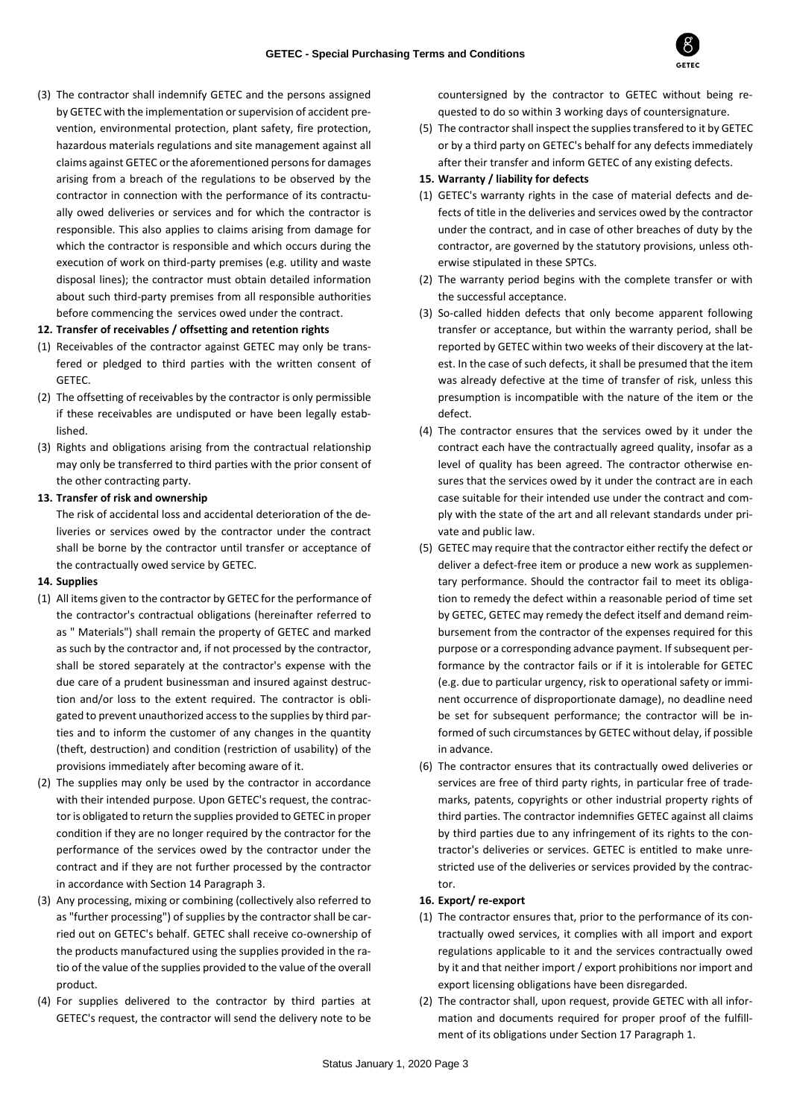

(3) The contractor shall indemnify GETEC and the persons assigned by GETEC with the implementation or supervision of accident prevention, environmental protection, plant safety, fire protection, hazardous materials regulations and site management against all claims against GETEC or the aforementioned persons for damages arising from a breach of the regulations to be observed by the contractor in connection with the performance of its contractually owed deliveries or services and for which the contractor is responsible. This also applies to claims arising from damage for which the contractor is responsible and which occurs during the execution of work on third-party premises (e.g. utility and waste disposal lines); the contractor must obtain detailed information about such third-party premises from all responsible authorities before commencing the services owed under the contract.

### **12. Transfer of receivables / offsetting and retention rights**

- (1) Receivables of the contractor against GETEC may only be transfered or pledged to third parties with the written consent of **GETEC**
- (2) The offsetting of receivables by the contractor is only permissible if these receivables are undisputed or have been legally established.
- (3) Rights and obligations arising from the contractual relationship may only be transferred to third parties with the prior consent of the other contracting party.

### **13. Transfer of risk and ownership**

The risk of accidental loss and accidental deterioration of the deliveries or services owed by the contractor under the contract shall be borne by the contractor until transfer or acceptance of the contractually owed service by GETEC.

#### **14. Supplies**

- (1) All items given to the contractor by GETEC for the performance of the contractor's contractual obligations (hereinafter referred to as " Materials") shall remain the property of GETEC and marked as such by the contractor and, if not processed by the contractor, shall be stored separately at the contractor's expense with the due care of a prudent businessman and insured against destruction and/or loss to the extent required. The contractor is obligated to prevent unauthorized access to the supplies by third parties and to inform the customer of any changes in the quantity (theft, destruction) and condition (restriction of usability) of the provisions immediately after becoming aware of it.
- (2) The supplies may only be used by the contractor in accordance with their intended purpose. Upon GETEC's request, the contractor is obligated to return the supplies provided to GETEC in proper condition if they are no longer required by the contractor for the performance of the services owed by the contractor under the contract and if they are not further processed by the contractor in accordance with Section 14 Paragraph 3.
- (3) Any processing, mixing or combining (collectively also referred to as "further processing") of supplies by the contractor shall be carried out on GETEC's behalf. GETEC shall receive co-ownership of the products manufactured using the supplies provided in the ratio of the value of the supplies provided to the value of the overall product.
- (4) For supplies delivered to the contractor by third parties at GETEC's request, the contractor will send the delivery note to be

countersigned by the contractor to GETEC without being requested to do so within 3 working days of countersignature.

(5) The contractor shall inspect the supplies transfered to it by GETEC or by a third party on GETEC's behalf for any defects immediately after their transfer and inform GETEC of any existing defects.

### **15. Warranty / liability for defects**

- (1) GETEC's warranty rights in the case of material defects and defects of title in the deliveries and services owed by the contractor under the contract, and in case of other breaches of duty by the contractor, are governed by the statutory provisions, unless otherwise stipulated in these SPTCs.
- (2) The warranty period begins with the complete transfer or with the successful acceptance.
- (3) So-called hidden defects that only become apparent following transfer or acceptance, but within the warranty period, shall be reported by GETEC within two weeks of their discovery at the latest. In the case of such defects, it shall be presumed that the item was already defective at the time of transfer of risk, unless this presumption is incompatible with the nature of the item or the defect.
- (4) The contractor ensures that the services owed by it under the contract each have the contractually agreed quality, insofar as a level of quality has been agreed. The contractor otherwise ensures that the services owed by it under the contract are in each case suitable for their intended use under the contract and comply with the state of the art and all relevant standards under private and public law.
- (5) GETEC may require that the contractor either rectify the defect or deliver a defect-free item or produce a new work as supplementary performance. Should the contractor fail to meet its obligation to remedy the defect within a reasonable period of time set by GETEC, GETEC may remedy the defect itself and demand reimbursement from the contractor of the expenses required for this purpose or a corresponding advance payment. If subsequent performance by the contractor fails or if it is intolerable for GETEC (e.g. due to particular urgency, risk to operational safety or imminent occurrence of disproportionate damage), no deadline need be set for subsequent performance; the contractor will be informed of such circumstances by GETEC without delay, if possible in advance.
- (6) The contractor ensures that its contractually owed deliveries or services are free of third party rights, in particular free of trademarks, patents, copyrights or other industrial property rights of third parties. The contractor indemnifies GETEC against all claims by third parties due to any infringement of its rights to the contractor's deliveries or services. GETEC is entitled to make unrestricted use of the deliveries or services provided by the contractor.

#### **16. Export/ re-export**

- (1) The contractor ensures that, prior to the performance of its contractually owed services, it complies with all import and export regulations applicable to it and the services contractually owed by it and that neither import / export prohibitions nor import and export licensing obligations have been disregarded.
- (2) The contractor shall, upon request, provide GETEC with all information and documents required for proper proof of the fulfillment of its obligations under Section 17 Paragraph 1.